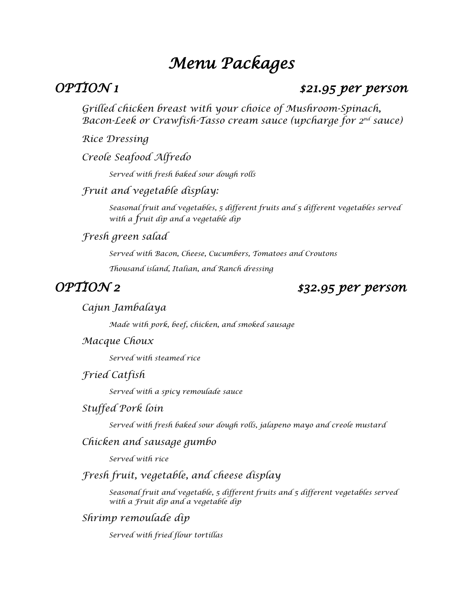# *Menu Packages*

## *OPTION 1 \$21.95 per person*

*Grilled chicken breast with your choice of Mushroom-Spinach, Bacon-Leek or Crawfish-Tasso cream sauce (upcharge for 2nd sauce)*

*Rice Dressing*

*Creole Seafood Alfredo* 

*Served with fresh baked sour dough rolls*

### *Fruit and vegetable display:*

*Seasonal fruit and vegetables, 5 different fruits and 5 different vegetables served with a fruit dip and a vegetable dip*

*Fresh green salad*

*Served with Bacon, Cheese, Cucumbers, Tomatoes and Croutons Thousand island, Italian, and Ranch dressing*

## *OPTION 2 \$32.95 per person*

#### *Cajun Jambalaya*

*Made with pork, beef, chicken, and smoked sausage*

#### *Macque Choux*

*Served with steamed rice*

*Fried Catfish*

*Served with a spicy remoulade sauce*

#### *Stuffed Pork loin*

*Served with fresh baked sour dough rolls, jalapeno mayo and creole mustard*

#### *Chicken and sausage gumbo*

*Served with rice*

## *Fresh fruit, vegetable, and cheese display*

*Seasonal fruit and vegetable, 5 different fruits and 5 different vegetables served with a Fruit dip and a vegetable dip*

### *Shrimp remoulade dip*

*Served with fried flour tortillas*